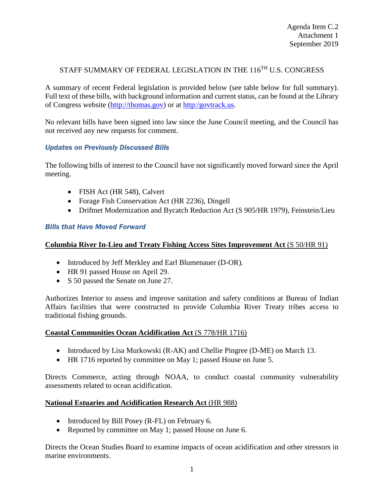# STAFF SUMMARY OF FEDERAL LEGISLATION IN THE 116<sup>TH</sup> U.S. CONGRESS

A summary of recent Federal legislation is provided below (see table below for full summary). Full text of these bills, with background information and current status, can be found at the Library of Congress website [\(http://thomas.gov\)](http://thomas.gov/) or at [http:/govtrack.us.](http://govtrack.us/)

No relevant bills have been signed into law since the June Council meeting, and the Council has not received any new requests for comment.

# *Updates on Previously Discussed Bills*

The following bills of interest to the Council have not significantly moved forward since the April meeting.

- FISH Act (HR 548), Calvert
- Forage Fish Conservation Act (HR 2236), Dingell
- Driftnet Modernization and Bycatch Reduction Act (S 905/HR 1979), Feinstein/Lieu

# *Bills that Have Moved Forward*

# **Columbia River In-Lieu and Treaty Fishing Access Sites Improvement Act** (S 50/HR 91)

- Introduced by Jeff Merkley and Earl Blumenauer (D-OR).
- HR 91 passed House on April 29.
- S 50 passed the Senate on June 27.

Authorizes Interior to assess and improve sanitation and safety conditions at Bureau of Indian Affairs facilities that were constructed to provide Columbia River Treaty tribes access to traditional fishing grounds.

# **Coastal Communities Ocean Acidification Act** (S 778/HR 1716)

- Introduced by Lisa Murkowski (R-AK) and Chellie Pingree (D-ME) on March 13.
- HR 1716 reported by committee on May 1; passed House on June 5.

Directs Commerce, acting through NOAA, to conduct coastal community vulnerability assessments related to ocean acidification.

# **National Estuaries and Acidification Research Act** (HR 988)

- Introduced by Bill Posey (R-FL) on February 6.
- Reported by committee on May 1; passed House on June 6.

Directs the Ocean Studies Board to examine impacts of ocean acidification and other stressors in marine environments.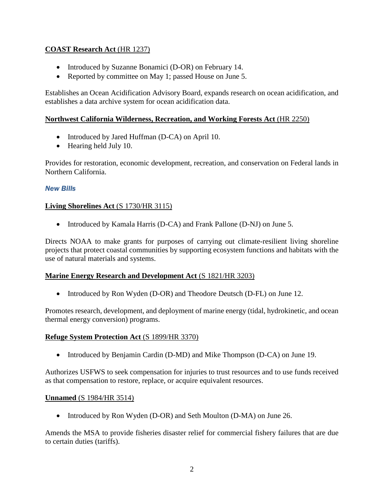# **COAST Research Act** (HR 1237)

- Introduced by Suzanne Bonamici (D-OR) on February 14.
- Reported by committee on May 1; passed House on June 5.

Establishes an Ocean Acidification Advisory Board, expands research on ocean acidification, and establishes a data archive system for ocean acidification data.

# **Northwest California Wilderness, Recreation, and Working Forests Act** (HR 2250)

- Introduced by Jared Huffman (D-CA) on April 10.
- Hearing held July 10.

Provides for restoration, economic development, recreation, and conservation on Federal lands in Northern California.

### *New Bills*

### **Living Shorelines Act** (S 1730/HR 3115)

• Introduced by Kamala Harris (D-CA) and Frank Pallone (D-NJ) on June 5.

Directs NOAA to make grants for purposes of carrying out climate-resilient living shoreline projects that protect coastal communities by supporting ecosystem functions and habitats with the use of natural materials and systems.

#### **Marine Energy Research and Development Act** (S 1821/HR 3203)

• Introduced by Ron Wyden (D-OR) and Theodore Deutsch (D-FL) on June 12.

Promotes research, development, and deployment of marine energy (tidal, hydrokinetic, and ocean thermal energy conversion) programs.

#### **Refuge System Protection Act** (S 1899/HR 3370)

• Introduced by Benjamin Cardin (D-MD) and Mike Thompson (D-CA) on June 19.

Authorizes USFWS to seek compensation for injuries to trust resources and to use funds received as that compensation to restore, replace, or acquire equivalent resources.

#### **Unnamed** (S 1984/HR 3514)

• Introduced by Ron Wyden (D-OR) and Seth Moulton (D-MA) on June 26.

Amends the MSA to provide fisheries disaster relief for commercial fishery failures that are due to certain duties (tariffs).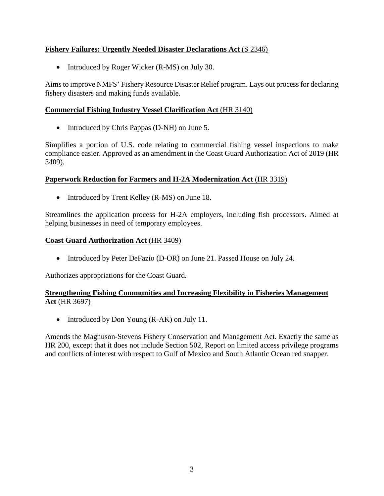# **Fishery Failures: Urgently Needed Disaster Declarations Act** (S 2346)

• Introduced by Roger Wicker (R-MS) on July 30.

Aims to improve NMFS' Fishery Resource Disaster Relief program. Lays out process for declaring fishery disasters and making funds available.

# **Commercial Fishing Industry Vessel Clarification Act** (HR 3140)

• Introduced by Chris Pappas (D-NH) on June 5.

Simplifies a portion of U.S. code relating to commercial fishing vessel inspections to make compliance easier. Approved as an amendment in the Coast Guard Authorization Act of 2019 (HR 3409).

### **Paperwork Reduction for Farmers and H-2A Modernization Act** (HR 3319)

• Introduced by Trent Kelley (R-MS) on June 18.

Streamlines the application process for H-2A employers, including fish processors. Aimed at helping businesses in need of temporary employees.

### **Coast Guard Authorization Act** (HR 3409)

• Introduced by Peter DeFazio (D-OR) on June 21. Passed House on July 24.

Authorizes appropriations for the Coast Guard.

# **Strengthening Fishing Communities and Increasing Flexibility in Fisheries Management Act** (HR 3697)

• Introduced by Don Young (R-AK) on July 11.

Amends the Magnuson-Stevens Fishery Conservation and Management Act. Exactly the same as HR 200, except that it does not include Section 502, Report on limited access privilege programs and conflicts of interest with respect to Gulf of Mexico and South Atlantic Ocean red snapper.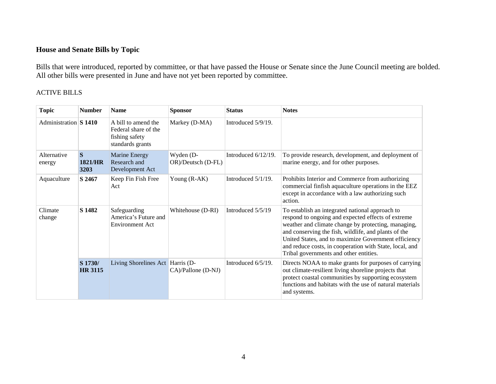# **House and Senate Bills by Topic**

Bills that were introduced, reported by committee, or that have passed the House or Senate since the June Council meeting are bolded. All other bills were presented in June and have not yet been reported by committee.

## ACTIVE BILLS

| <b>Topic</b>          | <b>Number</b>                         | <b>Name</b>                                                                       | <b>Sponsor</b>                  | <b>Status</b>         | <b>Notes</b>                                                                                                                                                                                                                                                                                                                                                                      |
|-----------------------|---------------------------------------|-----------------------------------------------------------------------------------|---------------------------------|-----------------------|-----------------------------------------------------------------------------------------------------------------------------------------------------------------------------------------------------------------------------------------------------------------------------------------------------------------------------------------------------------------------------------|
| Administration S 1410 |                                       | A bill to amend the<br>Federal share of the<br>fishing safety<br>standards grants | Markey (D-MA)                   | Introduced 5/9/19.    |                                                                                                                                                                                                                                                                                                                                                                                   |
| Alternative<br>energy | $\mathbf S$<br><b>1821/HR</b><br>3203 | Marine Energy<br>Research and<br>Development Act                                  | Wyden (D-<br>OR)/Deutsch (D-FL) | Introduced 6/12/19.   | To provide research, development, and deployment of<br>marine energy, and for other purposes.                                                                                                                                                                                                                                                                                     |
| Aquaculture           | S 2467                                | Keep Fin Fish Free<br>Act                                                         | Young $(R-AK)$                  | Introduced $5/1/19$ . | Prohibits Interior and Commerce from authorizing<br>commercial finfish aquaculture operations in the EEZ<br>except in accordance with a law authorizing such<br>action.                                                                                                                                                                                                           |
| Climate<br>change     | S 1482                                | Safeguarding<br>America's Future and<br><b>Environment Act</b>                    | Whitehouse (D-RI)               | Introduced 5/5/19     | To establish an integrated national approach to<br>respond to ongoing and expected effects of extreme<br>weather and climate change by protecting, managing,<br>and conserving the fish, wildlife, and plants of the<br>United States, and to maximize Government efficiency<br>and reduce costs, in cooperation with State, local, and<br>Tribal governments and other entities. |
|                       | S 1730/<br><b>HR 3115</b>             | Living Shorelines Act Harris (D-                                                  | CA)/Pallone (D-NJ)              | Introduced 6/5/19.    | Directs NOAA to make grants for purposes of carrying<br>out climate-resilient living shoreline projects that<br>protect coastal communities by supporting ecosystem<br>functions and habitats with the use of natural materials<br>and systems.                                                                                                                                   |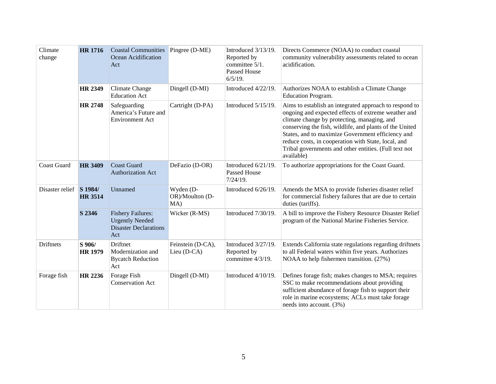| Climate<br>change  | <b>HR</b> 1716            | <b>Coastal Communities</b><br>Ocean Acidification<br>Act                                  | Pingree (D-ME)                      | Introduced $3/13/19$ .<br>Reported by<br>committee 5/1.<br><b>Passed House</b><br>$6/5/19$ . | Directs Commerce (NOAA) to conduct coastal<br>community vulnerability assessments related to ocean<br>acidification.                                                                                                                                                                                                                                                                                       |
|--------------------|---------------------------|-------------------------------------------------------------------------------------------|-------------------------------------|----------------------------------------------------------------------------------------------|------------------------------------------------------------------------------------------------------------------------------------------------------------------------------------------------------------------------------------------------------------------------------------------------------------------------------------------------------------------------------------------------------------|
|                    | <b>HR 2349</b>            | <b>Climate Change</b><br><b>Education Act</b>                                             | Dingell (D-MI)                      | Introduced 4/22/19.                                                                          | Authorizes NOAA to establish a Climate Change<br><b>Education Program.</b>                                                                                                                                                                                                                                                                                                                                 |
|                    | <b>HR 2748</b>            | Safeguarding<br>America's Future and<br><b>Environment Act</b>                            | Cartright (D-PA)                    | Introduced 5/15/19.                                                                          | Aims to establish an integrated approach to respond to<br>ongoing and expected effects of extreme weather and<br>climate change by protecting, managing, and<br>conserving the fish, wildlife, and plants of the United<br>States, and to maximize Government efficiency and<br>reduce costs, in cooperation with State, local, and<br>Tribal governments and other entities. (Full text not<br>available) |
| <b>Coast Guard</b> | <b>HR 3409</b>            | <b>Coast Guard</b><br><b>Authorization Act</b>                                            | DeFazio (D-OR)                      | Introduced 6/21/19.<br>Passed House<br>$7/24/19$ .                                           | To authorize appropriations for the Coast Guard.                                                                                                                                                                                                                                                                                                                                                           |
| Disaster relief    | S 1984/<br><b>HR 3514</b> | Unnamed                                                                                   | Wyden (D-<br>OR)/Moulton (D-<br>MA) | Introduced 6/26/19.                                                                          | Amends the MSA to provide fisheries disaster relief<br>for commercial fishery failures that are due to certain<br>duties (tariffs).                                                                                                                                                                                                                                                                        |
|                    | S 2346                    | <b>Fishery Failures:</b><br><b>Urgently Needed</b><br><b>Disaster Declarations</b><br>Act | Wicker (R-MS)                       | Introduced 7/30/19.                                                                          | A bill to improve the Fishery Resource Disaster Relief<br>program of the National Marine Fisheries Service.                                                                                                                                                                                                                                                                                                |
| <b>Driftnets</b>   | S 906/<br><b>HR 1979</b>  | <b>Driftnet</b><br>Modernization and<br><b>Bycatch Reduction</b><br>Act                   | Feinstein (D-CA),<br>Lieu (D-CA)    | Introduced 3/27/19.<br>Reported by<br>committee 4/3/19.                                      | Extends California state regulations regarding driftnets<br>to all Federal waters within five years. Authorizes<br>NOAA to help fishermen transition. (27%)                                                                                                                                                                                                                                                |
| Forage fish        | HR 2236                   | Forage Fish<br><b>Conservation Act</b>                                                    | Dingell (D-MI)                      | Introduced 4/10/19.                                                                          | Defines forage fish; makes changes to MSA; requires<br>SSC to make recommendations about providing<br>sufficient abundance of forage fish to support their<br>role in marine ecosystems; ACLs must take forage<br>needs into account. (3%)                                                                                                                                                                 |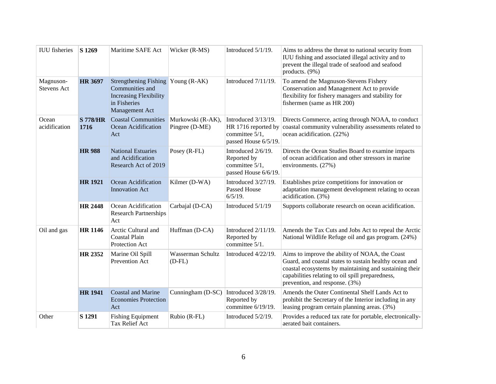| <b>IUU</b> fisheries            | S 1269                  | Maritime SAFE Act                                                                                                        | Wicker (R-MS)                       | Introduced 5/1/19.                                                                   | Aims to address the threat to national security from<br>IUU fishing and associated illegal activity and to<br>prevent the illegal trade of seafood and seafood<br>products. (9%)                                                                         |
|---------------------------------|-------------------------|--------------------------------------------------------------------------------------------------------------------------|-------------------------------------|--------------------------------------------------------------------------------------|----------------------------------------------------------------------------------------------------------------------------------------------------------------------------------------------------------------------------------------------------------|
| Magnuson-<br><b>Stevens Act</b> | <b>HR 3697</b>          | Strengthening Fishing Young (R-AK)<br>Communities and<br><b>Increasing Flexibility</b><br>in Fisheries<br>Management Act |                                     | Introduced 7/11/19.                                                                  | To amend the Magnuson-Stevens Fishery<br>Conservation and Management Act to provide<br>flexibility for fishery managers and stability for<br>fishermen (same as HR 200)                                                                                  |
| Ocean<br>acidification          | <b>S 778/HR</b><br>1716 | <b>Coastal Communities</b><br>Ocean Acidification<br>Act                                                                 | Murkowski (R-AK),<br>Pingree (D-ME) | Introduced 3/13/19.<br>HR 1716 reported by<br>committee 5/1,<br>passed House 6/5/19. | Directs Commerce, acting through NOAA, to conduct<br>coastal community vulnerability assessments related to<br>ocean acidification. (22%)                                                                                                                |
|                                 | <b>HR 988</b>           | <b>National Estuaries</b><br>and Acidification<br>Research Act of 2019                                                   | Posey (R-FL)                        | Introduced 2/6/19.<br>Reported by<br>committee 5/1,<br>passed House 6/6/19.          | Directs the Ocean Studies Board to examine impacts<br>of ocean acidification and other stressors in marine<br>environments. (27%)                                                                                                                        |
|                                 | <b>HR 1921</b>          | Ocean Acidification<br><b>Innovation Act</b>                                                                             | Kilmer (D-WA)                       | Introduced 3/27/19.<br><b>Passed House</b><br>$6/5/19$ .                             | Establishes prize competitions for innovation or<br>adaptation management development relating to ocean<br>acidification. (3%)                                                                                                                           |
|                                 | <b>HR 2448</b>          | Ocean Acidification<br><b>Research Partnerships</b><br>Act                                                               | Carbajal (D-CA)                     | Introduced 5/1/19                                                                    | Supports collaborate research on ocean acidification.                                                                                                                                                                                                    |
| Oil and gas                     | <b>HR 1146</b>          | Arctic Cultural and<br>Coastal Plain<br>Protection Act                                                                   | Huffman (D-CA)                      | Introduced 2/11/19.<br>Reported by<br>committee 5/1.                                 | Amends the Tax Cuts and Jobs Act to repeal the Arctic<br>National Wildlife Refuge oil and gas program. (24%)                                                                                                                                             |
|                                 | HR 2352                 | Marine Oil Spill<br>Prevention Act                                                                                       | Wasserman Schultz<br>$(D-FL)$       | Introduced 4/22/19.                                                                  | Aims to improve the ability of NOAA, the Coast<br>Guard, and coastal states to sustain healthy ocean and<br>coastal ecosystems by maintaining and sustaining their<br>capabilities relating to oil spill preparedness,<br>prevention, and response. (3%) |
|                                 | <b>HR 1941</b>          | Coastal and Marine<br><b>Economies Protection</b><br>Act                                                                 | Cunningham (D-SC)                   | Introduced 3/28/19.<br>Reported by<br>committee 6/19/19.                             | Amends the Outer Continental Shelf Lands Act to<br>prohibit the Secretary of the Interior including in any<br>leasing program certain planning areas. (3%)                                                                                               |
| Other                           | S 1291                  | <b>Fishing Equipment</b><br><b>Tax Relief Act</b>                                                                        | Rubio (R-FL)                        | Introduced 5/2/19.                                                                   | Provides a reduced tax rate for portable, electronically-<br>aerated bait containers.                                                                                                                                                                    |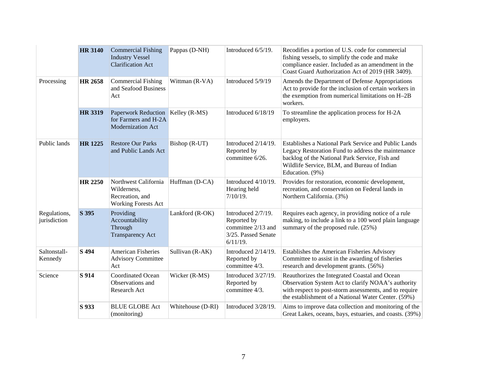|                              | <b>HR 3140</b> | <b>Commercial Fishing</b><br><b>Industry Vessel</b><br><b>Clarification Act</b>       | Pappas (D-NH)     | Introduced 6/5/19.                                                                            | Recodifies a portion of U.S. code for commercial<br>fishing vessels, to simplify the code and make<br>compliance easier. Included as an amendment in the<br>Coast Guard Authorization Act of 2019 (HR 3409).                   |
|------------------------------|----------------|---------------------------------------------------------------------------------------|-------------------|-----------------------------------------------------------------------------------------------|--------------------------------------------------------------------------------------------------------------------------------------------------------------------------------------------------------------------------------|
| Processing                   | <b>HR 2658</b> | <b>Commercial Fishing</b><br>and Seafood Business<br>Act                              | Wittman (R-VA)    | Introduced 5/9/19                                                                             | Amends the Department of Defense Appropriations<br>Act to provide for the inclusion of certain workers in<br>the exemption from numerical limitations on H-2B<br>workers.                                                      |
|                              | <b>HR 3319</b> | Paperwork Reduction Kelley (R-MS)<br>for Farmers and H-2A<br><b>Modernization Act</b> |                   | Introduced 6/18/19                                                                            | To streamline the application process for H-2A<br>employers.                                                                                                                                                                   |
| Public lands                 | <b>HR 1225</b> | <b>Restore Our Parks</b><br>and Public Lands Act                                      | Bishop (R-UT)     | Introduced 2/14/19.<br>Reported by<br>committee 6/26.                                         | Establishes a National Park Service and Public Lands<br>Legacy Restoration Fund to address the maintenance<br>backlog of the National Park Service, Fish and<br>Wildlife Service, BLM, and Bureau of Indian<br>Education. (9%) |
|                              | <b>HR 2250</b> | Northwest California<br>Wilderness,<br>Recreation, and<br><b>Working Forests Act</b>  | Huffman (D-CA)    | Introduced 4/10/19.<br>Hearing held<br>$7/10/19$ .                                            | Provides for restoration, economic development,<br>recreation, and conservation on Federal lands in<br>Northern California. (3%)                                                                                               |
| Regulations,<br>jurisdiction | S 395          | Providing<br>Accountability<br>Through<br><b>Transparency Act</b>                     | Lankford (R-OK)   | Introduced 2/7/19.<br>Reported by<br>committee 2/13 and<br>3/25. Passed Senate<br>$6/11/19$ . | Requires each agency, in providing notice of a rule<br>making, to include a link to a 100 word plain language<br>summary of the proposed rule. (25%)                                                                           |
| Saltonstall-<br>Kennedy      | S 494          | <b>American Fisheries</b><br><b>Advisory Committee</b><br>Act                         | Sullivan (R-AK)   | Introduced 2/14/19.<br>Reported by<br>committee 4/3.                                          | Establishes the American Fisheries Advisory<br>Committee to assist in the awarding of fisheries<br>research and development grants. (56%)                                                                                      |
| Science                      | S 914          | <b>Coordinated Ocean</b><br>Observations and<br>Research Act                          | Wicker (R-MS)     | Introduced 3/27/19.<br>Reported by<br>committee 4/3.                                          | Reauthorizes the Integrated Coastal and Ocean<br>Observation System Act to clarify NOAA's authority<br>with respect to post-storm assessments, and to require<br>the establishment of a National Water Center. (59%)           |
|                              | S 933          | <b>BLUE GLOBE Act</b><br>(monitoring)                                                 | Whitehouse (D-RI) | Introduced 3/28/19.                                                                           | Aims to improve data collection and monitoring of the<br>Great Lakes, oceans, bays, estuaries, and coasts. (39%)                                                                                                               |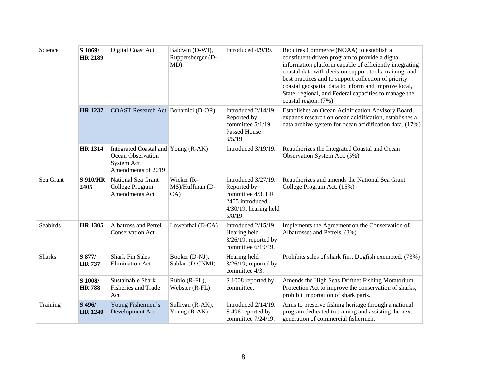| Science       | S 1069/<br><b>HR 2189</b> | Digital Coast Act                                                                            | Baldwin (D-WI),<br>Ruppersberger (D-<br>MD) | Introduced 4/9/19.                                                                                                   | Requires Commerce (NOAA) to establish a<br>constituent-driven program to provide a digital<br>information platform capable of efficiently integrating<br>coastal data with decision-support tools, training, and<br>best practices and to support collection of priority<br>coastal geospatial data to inform and improve local,<br>State, regional, and Federal capacities to manage the<br>coastal region. (7%) |
|---------------|---------------------------|----------------------------------------------------------------------------------------------|---------------------------------------------|----------------------------------------------------------------------------------------------------------------------|-------------------------------------------------------------------------------------------------------------------------------------------------------------------------------------------------------------------------------------------------------------------------------------------------------------------------------------------------------------------------------------------------------------------|
|               | <b>HR 1237</b>            | COAST Research Act Bonamici (D-OR)                                                           |                                             | Introduced $2/14/19$ .<br>Reported by<br>committee 5/1/19.<br><b>Passed House</b><br>$6/5/19$ .                      | Establishes an Ocean Acidification Advisory Board,<br>expands research on ocean acidification, establishes a<br>data archive system for ocean acidification data. (17%)                                                                                                                                                                                                                                           |
|               | <b>HR 1314</b>            | Integrated Coastal and Young (R-AK)<br>Ocean Observation<br>System Act<br>Amendments of 2019 |                                             | Introduced 3/19/19.                                                                                                  | Reauthorizes the Integrated Coastal and Ocean<br>Observation System Act. (5%)                                                                                                                                                                                                                                                                                                                                     |
| Sea Grant     | <b>S 910/HR</b><br>2405   | National Sea Grant<br>College Program<br><b>Amendments Act</b>                               | Wicker (R-<br>MS)/Huffman (D-<br>CA)        | Introduced 3/27/19.<br>Reported by<br>committee 4/3. HR<br>2405 introduced<br>$4/30/19$ , hearing held<br>$5/8/19$ . | Reauthorizes and amends the National Sea Grant<br>College Program Act. (15%)                                                                                                                                                                                                                                                                                                                                      |
| Seabirds      | <b>HR 1305</b>            | <b>Albatross and Petrel</b><br><b>Conservation Act</b>                                       | Lowenthal (D-CA)                            | Introduced 2/15/19.<br>Hearing held<br>$3/26/19$ , reported by<br>committee 6/19/19.                                 | Implements the Agreement on the Conservation of<br>Albatrosses and Petrels. (3%)                                                                                                                                                                                                                                                                                                                                  |
| <b>Sharks</b> | S 877/<br><b>HR737</b>    | <b>Shark Fin Sales</b><br><b>Elimination Act</b>                                             | Booker (D-NJ),<br>Sablan (D-CNMI)           | Hearing held<br>$3/26/19$ ; reported by<br>committee 4/3.                                                            | Prohibits sales of shark fins. Dogfish exempted. (73%)                                                                                                                                                                                                                                                                                                                                                            |
|               | S 1008/<br><b>HR788</b>   | Sustainable Shark<br>Fisheries and Trade<br>Act                                              | Rubio (R-FL),<br>Webster (R-FL)             | S 1008 reported by<br>committee.                                                                                     | Amends the High Seas Driftnet Fishing Moratorium<br>Protection Act to improve the conservation of sharks,<br>prohibit importation of shark parts.                                                                                                                                                                                                                                                                 |
| Training      | S 496/<br><b>HR 1240</b>  | Young Fishermen's<br>Development Act                                                         | Sullivan (R-AK),<br>Young (R-AK)            | Introduced $2/14/19$ .<br>S 496 reported by<br>committee 7/24/19.                                                    | Aims to preserve fishing heritage through a national<br>program dedicated to training and assisting the next<br>generation of commercial fishermen.                                                                                                                                                                                                                                                               |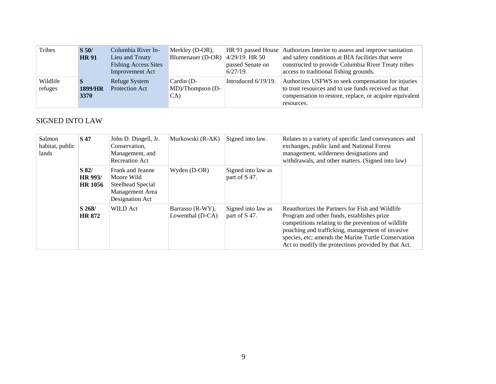| Tribes              | $\overline{S}$ 50/<br><b>HR91</b> | Columbia River In-<br>Lieu and Treaty<br><b>Fishing Access Sites</b><br>Improvement Act | Merkley (D-OR),<br>Blumenauer (D-OR)                 | $ 4/29/19$ . HR 50<br>passed Senate on<br>$6/27/19$ . | HR 91 passed House Authorizes Interior to assess and improve sanitation<br>and safety conditions at BIA facilities that were<br>constructed to provide Columbia River Treaty tribes<br>access to traditional fishing grounds. |
|---------------------|-----------------------------------|-----------------------------------------------------------------------------------------|------------------------------------------------------|-------------------------------------------------------|-------------------------------------------------------------------------------------------------------------------------------------------------------------------------------------------------------------------------------|
| Wildlife<br>refuges | 1899/HR<br><b>3370</b>            | Refuge System<br><b>Protection Act</b>                                                  | Cardin (D-<br>$\text{MD}/\text{Thompson}$ (D-<br>CA) | Introduced 6/19/19.                                   | Authorizes USFWS to seek compensation for injuries<br>to trust resources and to use funds received as that<br>compensation to restore, replace, or acquire equivalent<br>resources.                                           |

# SIGNED INTO LAW

| Salmon<br>habitat, public<br>lands | <b>S</b> 47                                   | John D. Dingell, Jr.<br>Conservation,<br>Management, and<br><b>Recreation Act</b>         | Murkowski (R-AK)                     | Signed into law.                    | Relates to a variety of specific land conveyances and<br>exchanges, public land and National Forest<br>management, wilderness designations and<br>withdrawals, and other matters. (Signed into law)                                                                                                                    |
|------------------------------------|-----------------------------------------------|-------------------------------------------------------------------------------------------|--------------------------------------|-------------------------------------|------------------------------------------------------------------------------------------------------------------------------------------------------------------------------------------------------------------------------------------------------------------------------------------------------------------------|
|                                    | $\mathbf{S}$ 82/<br>HR 993/<br><b>HR 1056</b> | Frank and Jeanne<br>Moore Wild<br>Steelhead Special<br>Management Area<br>Designation Act | Wyden (D-OR)                         | Signed into law as<br>part of S 47. |                                                                                                                                                                                                                                                                                                                        |
|                                    | $S$ 268/<br><b>HR 872</b>                     | <b>WILD Act</b>                                                                           | Barrasso (R-WY),<br>Lowenthal (D-CA) | Signed into law as<br>part of S 47. | Reauthorizes the Partners for Fish and Wildlife<br>Program and other funds, establishes prize<br>competitions relating to the prevention of wildlife<br>poaching and trafficking, management of invasive<br>species, etc; amends the Marine Turtle Conservation<br>Act to modify the protections provided by that Act. |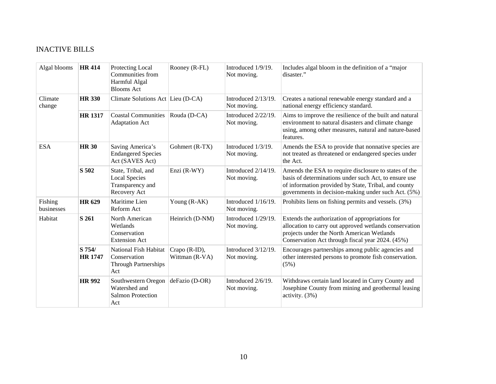# INACTIVE BILLS

| Algal blooms          | <b>HR 414</b>            | Protecting Local<br>Communities from<br>Harmful Algal<br><b>Blooms</b> Act     | Rooney (R-FL)                   | Introduced 1/9/19.<br>Not moving.  | Includes algal bloom in the definition of a "major<br>disaster."                                                                                                                                                              |
|-----------------------|--------------------------|--------------------------------------------------------------------------------|---------------------------------|------------------------------------|-------------------------------------------------------------------------------------------------------------------------------------------------------------------------------------------------------------------------------|
| Climate<br>change     | <b>HR 330</b>            | Climate Solutions Act Lieu (D-CA)                                              |                                 | Introduced 2/13/19.<br>Not moving. | Creates a national renewable energy standard and a<br>national energy efficiency standard.                                                                                                                                    |
|                       | <b>HR 1317</b>           | <b>Coastal Communities</b><br><b>Adaptation Act</b>                            | Rouda (D-CA)                    | Introduced 2/22/19.<br>Not moving. | Aims to improve the resilience of the built and natural<br>environment to natural disasters and climate change<br>using, among other measures, natural and nature-based<br>features.                                          |
| <b>ESA</b>            | <b>HR 30</b>             | Saving America's<br><b>Endangered Species</b><br>Act (SAVES Act)               | Gohmert (R-TX)                  | Introduced 1/3/19.<br>Not moving.  | Amends the ESA to provide that nonnative species are<br>not treated as threatened or endangered species under<br>the Act.                                                                                                     |
|                       | S 502                    | State, Tribal, and<br><b>Local Species</b><br>Transparency and<br>Recovery Act | Enzi (R-WY)                     | Introduced 2/14/19.<br>Not moving. | Amends the ESA to require disclosure to states of the<br>basis of determinations under such Act, to ensure use<br>of information provided by State, Tribal, and county<br>governments in decision-making under such Act. (5%) |
| Fishing<br>businesses | <b>HR 629</b>            | Maritime Lien<br>Reform Act                                                    | Young (R-AK)                    | Introduced 1/16/19.<br>Not moving. | Prohibits liens on fishing permits and vessels. (3%)                                                                                                                                                                          |
| Habitat               | S 261                    | North American<br>Wetlands<br>Conservation<br><b>Extension Act</b>             | Heinrich (D-NM)                 | Introduced 1/29/19.<br>Not moving. | Extends the authorization of appropriations for<br>allocation to carry out approved wetlands conservation<br>projects under the North American Wetlands<br>Conservation Act through fiscal year 2024. (45%)                   |
|                       | S 754/<br><b>HR 1747</b> | National Fish Habitat<br>Conservation<br><b>Through Partnerships</b><br>Act    | Crapo (R-ID),<br>Wittman (R-VA) | Introduced 3/12/19.<br>Not moving. | Encourages partnerships among public agencies and<br>other interested persons to promote fish conservation.<br>(5%)                                                                                                           |
|                       | <b>HR 992</b>            | Southwestern Oregon<br>Watershed and<br><b>Salmon Protection</b><br>Act        | deFazio (D-OR)                  | Introduced 2/6/19.<br>Not moving.  | Withdraws certain land located in Curry County and<br>Josephine County from mining and geothermal leasing<br>activity. (3%)                                                                                                   |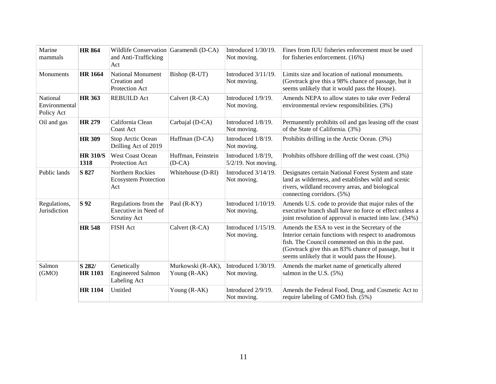| Marine<br>mammals                       | <b>HR 864</b>            | Wildlife Conservation Garamendi (D-CA)<br>and Anti-Trafficking<br>Act |                                     | Introduced 1/30/19.<br>Not moving.           | Fines from IUU fisheries enforcement must be used<br>for fisheries enforcement. (16%)                                                                                                                                                                                |
|-----------------------------------------|--------------------------|-----------------------------------------------------------------------|-------------------------------------|----------------------------------------------|----------------------------------------------------------------------------------------------------------------------------------------------------------------------------------------------------------------------------------------------------------------------|
| Monuments                               | <b>HR 1664</b>           | <b>National Monument</b><br>Creation and<br>Protection Act            | Bishop (R-UT)                       | Introduced $3/11/19$ .<br>Not moving.        | Limits size and location of national monuments.<br>(Govtrack give this a 98% chance of passage, but it<br>seems unlikely that it would pass the House).                                                                                                              |
| National<br>Environmental<br>Policy Act | <b>HR 363</b>            | <b>REBUILD Act</b>                                                    | Calvert (R-CA)                      | Introduced 1/9/19.<br>Not moving.            | Amends NEPA to allow states to take over Federal<br>environmental review responsibilities. (3%)                                                                                                                                                                      |
| Oil and gas                             | <b>HR 279</b>            | California Clean<br>Coast Act                                         | Carbajal (D-CA)                     | Introduced 1/8/19.<br>Not moving.            | Permanently prohibits oil and gas leasing off the coast<br>of the State of California. (3%)                                                                                                                                                                          |
|                                         | <b>HR 309</b>            | Stop Arctic Ocean<br>Drilling Act of 2019                             | Huffman (D-CA)                      | Introduced 1/8/19.<br>Not moving.            | Prohibits drilling in the Arctic Ocean. (3%)                                                                                                                                                                                                                         |
|                                         | <b>HR 310/S</b><br>1318  | <b>West Coast Ocean</b><br>Protection Act                             | Huffman, Feinstein<br>$(D-CA)$      | Introduced 1/8/19,<br>$5/2/19$ . Not moving. | Prohibits offshore drilling off the west coast. (3%)                                                                                                                                                                                                                 |
| Public lands                            | S 827                    | Northern Rockies<br><b>Ecosystem Protection</b><br>Act                | Whitehouse (D-RI)                   | Introduced 3/14/19.<br>Not moving.           | Designates certain National Forest System and state<br>land as wilderness, and establishes wild and scenic<br>rivers, wildland recovery areas, and biological<br>connecting corridors. (5%)                                                                          |
| Regulations,<br>Jurisdiction            | S 92                     | Regulations from the<br>Executive in Need of<br>Scrutiny Act          | Paul (R-KY)                         | Introduced 1/10/19.<br>Not moving.           | Amends U.S. code to provide that major rules of the<br>executive branch shall have no force or effect unless a<br>joint resolution of approval is enacted into law. (34%)                                                                                            |
|                                         | <b>HR 548</b>            | <b>FISH Act</b>                                                       | Calvert (R-CA)                      | Introduced 1/15/19.<br>Not moving.           | Amends the ESA to vest in the Secretary of the<br>Interior certain functions with respect to anadromous<br>fish. The Council commented on this in the past.<br>(Govtrack give this an 83% chance of passage, but it<br>seems unlikely that it would pass the House). |
| Salmon<br>(GMO)                         | S 282/<br><b>HR 1103</b> | Genetically<br><b>Engineered Salmon</b><br>Labeling Act               | Murkowski (R-AK),<br>Young $(R-AK)$ | Introduced 1/30/19.<br>Not moving.           | Amends the market name of genetically altered<br>salmon in the U.S. $(5\%)$                                                                                                                                                                                          |
|                                         | <b>HR 1104</b>           | Untitled                                                              | Young (R-AK)                        | Introduced 2/9/19.<br>Not moving.            | Amends the Federal Food, Drug, and Cosmetic Act to<br>require labeling of GMO fish. (5%)                                                                                                                                                                             |